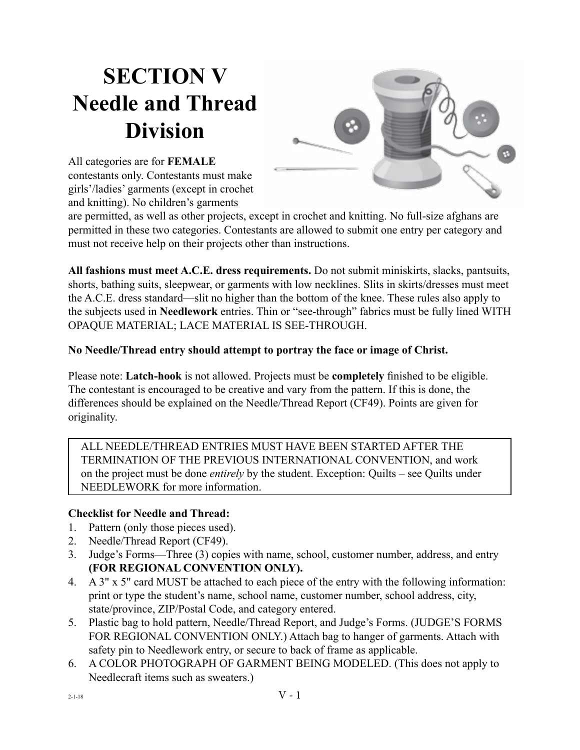# **SECTION V Needle and Thread Division**



All categories are for **FEMALE** contestants only. Contestants must make girls'/ladies' garments (except in crochet and knitting). No children's garments

are permitted, as well as other projects, except in crochet and knitting. No full-size afghans are permitted in these two categories. Contestants are allowed to submit one entry per category and must not receive help on their projects other than instructions.

**All fashions must meet A.C.E. dress requirements.** Do not submit miniskirts, slacks, pantsuits, shorts, bathing suits, sleepwear, or garments with low necklines. Slits in skirts/dresses must meet the A.C.E. dress standard—slit no higher than the bottom of the knee. These rules also apply to the subjects used in **Needlework** entries. Thin or "see-through" fabrics must be fully lined WITH OPAQUE MATERIAL; LACE MATERIAL IS SEE-THROUGH.

**No Needle/Thread entry should attempt to portray the face or image of Christ.**

Please note: **Latch-hook** is not allowed. Projects must be **completely** finished to be eligible. The contestant is encouraged to be creative and vary from the pattern. If this is done, the differences should be explained on the Needle/Thread Report (CF49). Points are given for originality.

ALL NEEDLE/THREAD ENTRIES MUST HAVE BEEN STARTED AFTER THE TERMINATION OF THE PREVIOUS INTERNATIONAL CONVENTION, and work on the project must be done *entirely* by the student. Exception: Quilts – see Quilts under NEEDLEWORK for more information.

#### **Checklist for Needle and Thread:**

- 1. Pattern (only those pieces used).
- 2. Needle/Thread Report (CF49).
- 3. Judge's Forms—Three (3) copies with name, school, customer number, address, and entry **(FOR REGIONAL CONVENTION ONLY).**
- 4. A 3" x 5" card MUST be attached to each piece of the entry with the following information: print or type the student's name, school name, customer number, school address, city, state/province, ZIP/Postal Code, and category entered.
- 5. Plastic bag to hold pattern, Needle/Thread Report, and Judge's Forms. (JUDGE'S FORMS FOR REGIONAL CONVENTION ONLY.) Attach bag to hanger of garments. Attach with safety pin to Needlework entry, or secure to back of frame as applicable.
- 6. A COLOR PHOTOGRAPH OF GARMENT BEING MODELED. (This does not apply to Needlecraft items such as sweaters.)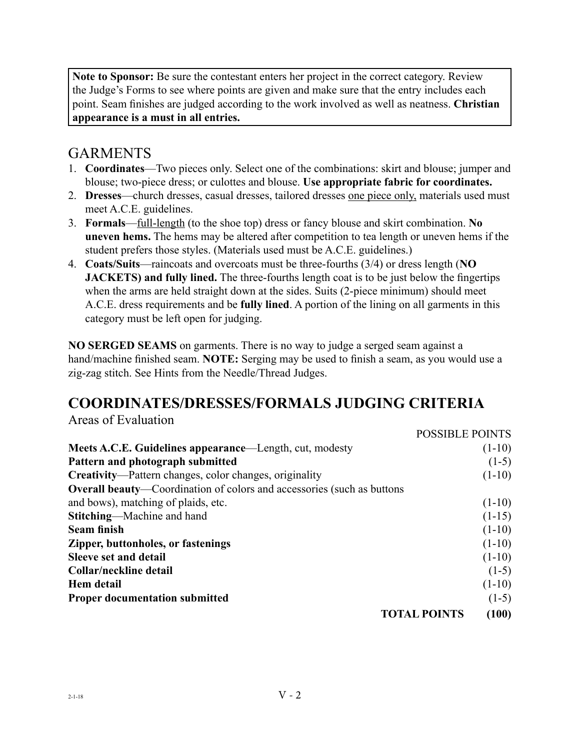**Note to Sponsor:** Be sure the contestant enters her project in the correct category. Review the Judge's Forms to see where points are given and make sure that the entry includes each point. Seam finishes are judged according to the work involved as well as neatness. **Christian appearance is a must in all entries.**

#### GARMENTS

- 1. **Coordinates**—Two pieces only. Select one of the combinations: skirt and blouse; jumper and blouse; two-piece dress; or culottes and blouse. **Use appropriate fabric for coordinates.**
- 2. **Dresses**—church dresses, casual dresses, tailored dresses one piece only, materials used must meet A.C.E. guidelines.
- 3. **Formals**—full-length (to the shoe top) dress or fancy blouse and skirt combination. **No uneven hems.** The hems may be altered after competition to tea length or uneven hems if the student prefers those styles. (Materials used must be A.C.E. guidelines.)
- 4. **Coats/Suits**—raincoats and overcoats must be three-fourths (3/4) or dress length (**NO JACKETS) and fully lined.** The three-fourths length coat is to be just below the fingertips when the arms are held straight down at the sides. Suits (2-piece minimum) should meet A.C.E. dress requirements and be **fully lined**. A portion of the lining on all garments in this category must be left open for judging.

**NO SERGED SEAMS** on garments. There is no way to judge a serged seam against a hand/machine finished seam. **NOTE:** Serging may be used to finish a seam, as you would use a zig-zag stitch. See Hints from the Needle/Thread Judges.

POSSIBLE POINTS

## **COORDINATES/DRESSES/FORMALS JUDGING CRITERIA**

Areas of Evaluation

|                                                                               | PUSSIBLE PUINTS     |          |
|-------------------------------------------------------------------------------|---------------------|----------|
| Meets A.C.E. Guidelines appearance—Length, cut, modesty                       |                     | $(1-10)$ |
| Pattern and photograph submitted                                              |                     | $(1-5)$  |
| <b>Creativity—Pattern changes, color changes, originality</b>                 |                     | $(1-10)$ |
| <b>Overall beauty—Coordination of colors and accessories (such as buttons</b> |                     |          |
| and bows), matching of plaids, etc.                                           |                     | $(1-10)$ |
| <b>Stitching—Machine and hand</b>                                             |                     | $(1-15)$ |
| <b>Seam finish</b>                                                            |                     | $(1-10)$ |
| Zipper, buttonholes, or fastenings                                            |                     | $(1-10)$ |
| <b>Sleeve set and detail</b>                                                  |                     | $(1-10)$ |
| Collar/neckline detail                                                        |                     | $(1-5)$  |
| Hem detail                                                                    |                     | $(1-10)$ |
| <b>Proper documentation submitted</b>                                         |                     | $(1-5)$  |
|                                                                               | <b>TOTAL POINTS</b> | (100)    |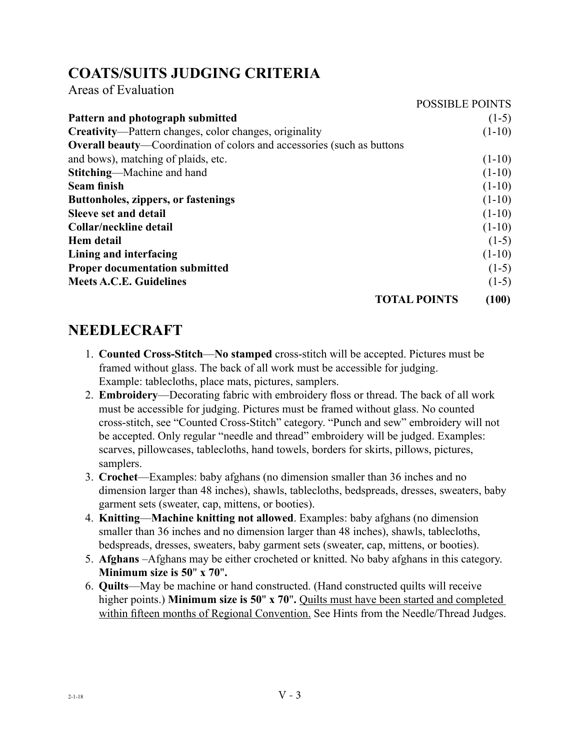## **COATS/SUITS JUDGING CRITERIA**

Areas of Evaluation

|                                                                               | <b>POSSIBLE POINTS</b> |          |
|-------------------------------------------------------------------------------|------------------------|----------|
| Pattern and photograph submitted                                              |                        | $(1-5)$  |
| <b>Creativity—Pattern changes, color changes, originality</b>                 |                        | $(1-10)$ |
| <b>Overall beauty—Coordination of colors and accessories (such as buttons</b> |                        |          |
| and bows), matching of plaids, etc.                                           |                        | $(1-10)$ |
| Stitching—Machine and hand                                                    |                        | $(1-10)$ |
| <b>Seam finish</b>                                                            |                        | $(1-10)$ |
| <b>Buttonholes, zippers, or fastenings</b>                                    |                        | $(1-10)$ |
| <b>Sleeve set and detail</b>                                                  |                        | $(1-10)$ |
| Collar/neckline detail                                                        |                        | $(1-10)$ |
| <b>Hem</b> detail                                                             |                        | $(1-5)$  |
| Lining and interfacing                                                        |                        | $(1-10)$ |
| <b>Proper documentation submitted</b>                                         |                        | $(1-5)$  |
| <b>Meets A.C.E. Guidelines</b>                                                |                        | $(1-5)$  |
|                                                                               | <b>TOTAL POINTS</b>    | (100)    |

#### **NEEDLECRAFT**

- 1. **Counted Cross-Stitch**—**No stamped** cross-stitch will be accepted. Pictures must be framed without glass. The back of all work must be accessible for judging. Example: tablecloths, place mats, pictures, samplers.
- 2. **Embroidery**—Decorating fabric with embroidery floss or thread. The back of all work must be accessible for judging. Pictures must be framed without glass. No counted cross-stitch, see "Counted Cross-Stitch" category. "Punch and sew" embroidery will not be accepted. Only regular "needle and thread" embroidery will be judged. Examples: scarves, pillowcases, tablecloths, hand towels, borders for skirts, pillows, pictures, samplers.
- 3. **Crochet**—Examples: baby afghans (no dimension smaller than 36 inches and no dimension larger than 48 inches), shawls, tablecloths, bedspreads, dresses, sweaters, baby garment sets (sweater, cap, mittens, or booties).
- 4. **Knitting**—**Machine knitting not allowed**. Examples: baby afghans (no dimension smaller than 36 inches and no dimension larger than 48 inches), shawls, tablecloths, bedspreads, dresses, sweaters, baby garment sets (sweater, cap, mittens, or booties).
- 5. **Afghans** –Afghans may be either crocheted or knitted. No baby afghans in this category. **Minimum size is 50**" **x 70**"**.**
- 6. **Quilts**—May be machine or hand constructed. (Hand constructed quilts will receive higher points.) **Minimum size is 50"** x 70". Quilts must have been started and completed within fifteen months of Regional Convention. See Hints from the Needle/Thread Judges.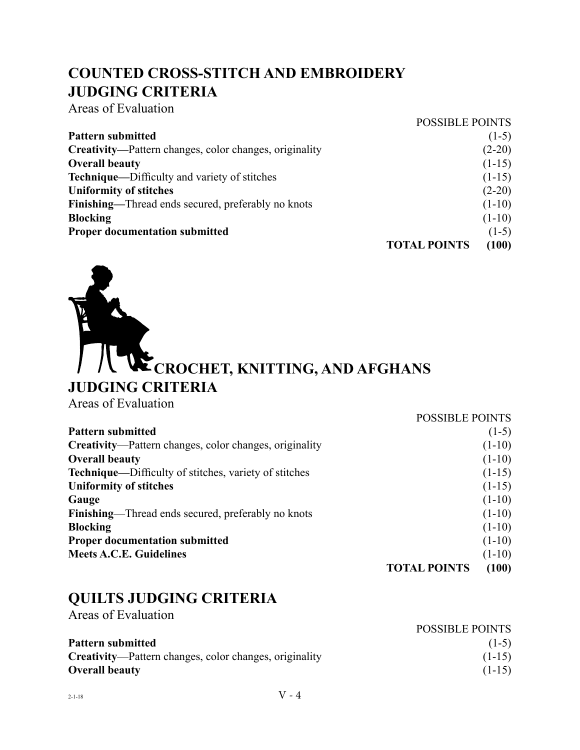## **COUNTED CROSS-STITCH AND EMBROIDERY JUDGING CRITERIA**

Areas of Evaluation

|                                                        | <b>POSSIBLE POINTS</b> |          |
|--------------------------------------------------------|------------------------|----------|
| <b>Pattern submitted</b>                               |                        | $(1-5)$  |
| Creativity—Pattern changes, color changes, originality |                        | $(2-20)$ |
| <b>Overall beauty</b>                                  |                        | $(1-15)$ |
| Technique—Difficulty and variety of stitches           |                        | $(1-15)$ |
| <b>Uniformity of stitches</b>                          |                        | $(2-20)$ |
| Finishing—Thread ends secured, preferably no knots     |                        | $(1-10)$ |
| <b>Blocking</b>                                        |                        | $(1-10)$ |
| <b>Proper documentation submitted</b>                  |                        | $(1-5)$  |
|                                                        | <b>TOTAL POINTS</b>    | (100)    |



| Areas of Evaluation |  |
|---------------------|--|
|                     |  |

|                                                               | <b>POSSIBLE POINTS</b> |          |
|---------------------------------------------------------------|------------------------|----------|
| <b>Pattern submitted</b>                                      |                        | $(1-5)$  |
| <b>Creativity—Pattern changes, color changes, originality</b> |                        | $(1-10)$ |
| <b>Overall beauty</b>                                         |                        | $(1-10)$ |
| <b>Technique—Difficulty of stitches, variety of stitches</b>  |                        | $(1-15)$ |
| <b>Uniformity of stitches</b>                                 |                        | $(1-15)$ |
| Gauge                                                         |                        | $(1-10)$ |
| <b>Finishing—Thread ends secured, preferably no knots</b>     |                        | $(1-10)$ |
| <b>Blocking</b>                                               |                        | $(1-10)$ |
| <b>Proper documentation submitted</b>                         |                        | $(1-10)$ |
| <b>Meets A.C.E. Guidelines</b>                                |                        | $(1-10)$ |
|                                                               | <b>TOTAL POINTS</b>    | (100)    |

# **QUILTS JUDGING CRITERIA**

Areas of Evaluation

|                                                               | <b>POSSIBLE POINTS</b> |
|---------------------------------------------------------------|------------------------|
| <b>Pattern submitted</b>                                      | $(1-5)$                |
| <b>Creativity—Pattern changes, color changes, originality</b> | $(1-15)$               |
| <b>Overall beauty</b>                                         | $(1-15)$               |